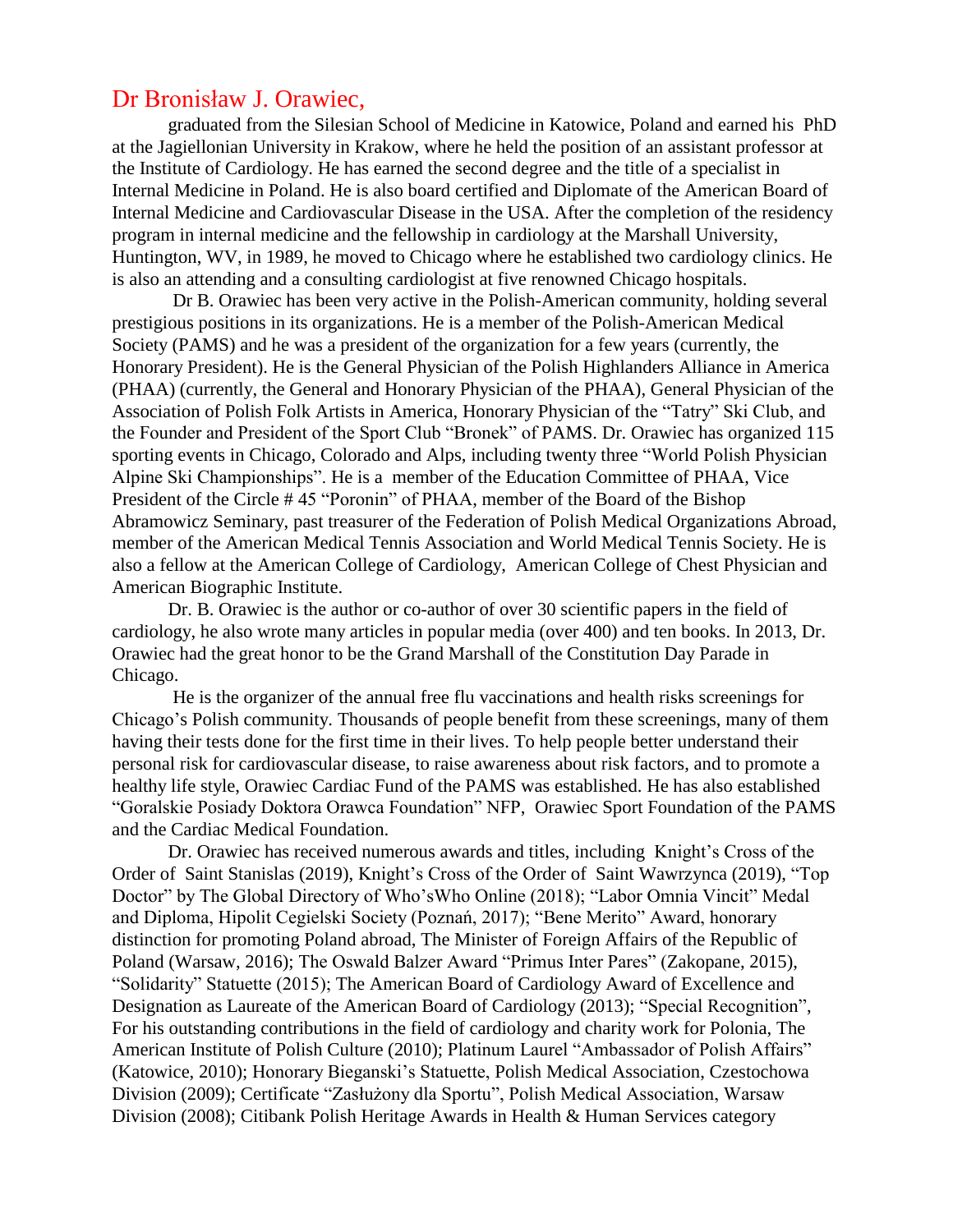## Dr Bronisław J. Orawiec,

graduated from the Silesian School of Medicine in Katowice, Poland and earned his PhD at the Jagiellonian University in Krakow, where he held the position of an assistant professor at the Institute of Cardiology. He has earned the second degree and the title of a specialist in Internal Medicine in Poland. He is also board certified and Diplomate of the American Board of Internal Medicine and Cardiovascular Disease in the USA. After the completion of the residency program in internal medicine and the fellowship in cardiology at the Marshall University, Huntington, WV, in 1989, he moved to Chicago where he established two cardiology clinics. He is also an attending and a consulting cardiologist at five renowned Chicago hospitals.

Dr B. Orawiec has been very active in the Polish-American community, holding several prestigious positions in its organizations. He is a member of the Polish-American Medical Society (PAMS) and he was a president of the organization for a few years (currently, the Honorary President). He is the General Physician of the Polish Highlanders Alliance in America (PHAA) (currently, the General and Honorary Physician of the PHAA), General Physician of the Association of Polish Folk Artists in America, Honorary Physician of the "Tatry" Ski Club, and the Founder and President of the Sport Club "Bronek" of PAMS. Dr. Orawiec has organized 115 sporting events in Chicago, Colorado and Alps, including twenty three "World Polish Physician Alpine Ski Championships". He is a member of the Education Committee of PHAA, Vice President of the Circle # 45 "Poronin" of PHAA, member of the Board of the Bishop Abramowicz Seminary, past treasurer of the Federation of Polish Medical Organizations Abroad, member of the American Medical Tennis Association and World Medical Tennis Society. He is also a fellow at the American College of Cardiology, American College of Chest Physician and American Biographic Institute.

Dr. B. Orawiec is the author or co-author of over 30 scientific papers in the field of cardiology, he also wrote many articles in popular media (over 400) and ten books. In 2013, Dr. Orawiec had the great honor to be the Grand Marshall of the Constitution Day Parade in Chicago.

He is the organizer of the annual free flu vaccinations and health risks screenings for Chicago's Polish community. Thousands of people benefit from these screenings, many of them having their tests done for the first time in their lives. To help people better understand their personal risk for cardiovascular disease, to raise awareness about risk factors, and to promote a healthy life style, Orawiec Cardiac Fund of the PAMS was established. He has also established "Goralskie Posiady Doktora Orawca Foundation" NFP, Orawiec Sport Foundation of the PAMS and the Cardiac Medical Foundation.

 Dr. Orawiec has received numerous awards and titles, including Knight's Cross of the Order of Saint Stanislas (2019), Knight's Cross of the Order of Saint Wawrzynca (2019), "Top Doctor" by The Global Directory of Who'sWho Online (2018); "Labor Omnia Vincit" Medal and Diploma, Hipolit Cegielski Society (Poznań, 2017); "Bene Merito" Award, honorary distinction for promoting Poland abroad, The Minister of Foreign Affairs of the Republic of Poland (Warsaw, 2016); The Oswald Balzer Award "Primus Inter Pares" (Zakopane, 2015), "Solidarity" Statuette (2015); The American Board of Cardiology Award of Excellence and Designation as Laureate of the American Board of Cardiology (2013); "Special Recognition", For his outstanding contributions in the field of cardiology and charity work for Polonia, The American Institute of Polish Culture (2010); Platinum Laurel "Ambassador of Polish Affairs" (Katowice, 2010); Honorary Bieganski's Statuette, Polish Medical Association, Czestochowa Division (2009); Certificate "Zasłużony dla Sportu", Polish Medical Association, Warsaw Division (2008); Citibank Polish Heritage Awards in Health & Human Services category